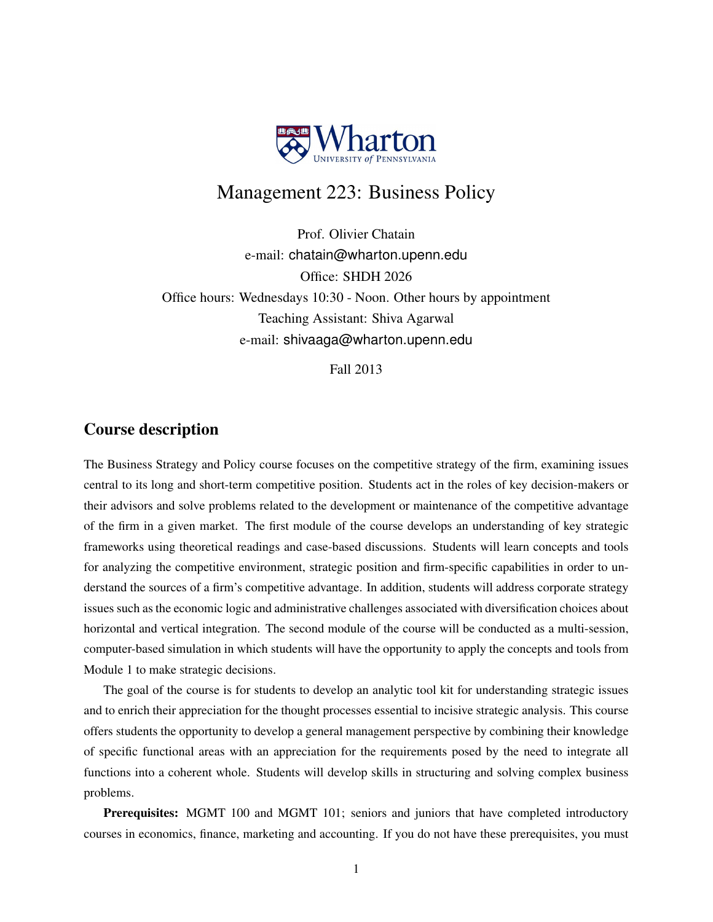

# Management 223: Business Policy

Prof. Olivier Chatain e-mail: chatain@wharton.upenn.edu Office: SHDH 2026 Office hours: Wednesdays 10:30 - Noon. Other hours by appointment Teaching Assistant: Shiva Agarwal e-mail: shivaaga@wharton.upenn.edu

Fall 2013

## Course description

The Business Strategy and Policy course focuses on the competitive strategy of the firm, examining issues central to its long and short-term competitive position. Students act in the roles of key decision-makers or their advisors and solve problems related to the development or maintenance of the competitive advantage of the firm in a given market. The first module of the course develops an understanding of key strategic frameworks using theoretical readings and case-based discussions. Students will learn concepts and tools for analyzing the competitive environment, strategic position and firm-specific capabilities in order to understand the sources of a firm's competitive advantage. In addition, students will address corporate strategy issues such as the economic logic and administrative challenges associated with diversification choices about horizontal and vertical integration. The second module of the course will be conducted as a multi-session, computer-based simulation in which students will have the opportunity to apply the concepts and tools from Module 1 to make strategic decisions.

The goal of the course is for students to develop an analytic tool kit for understanding strategic issues and to enrich their appreciation for the thought processes essential to incisive strategic analysis. This course offers students the opportunity to develop a general management perspective by combining their knowledge of specific functional areas with an appreciation for the requirements posed by the need to integrate all functions into a coherent whole. Students will develop skills in structuring and solving complex business problems.

Prerequisites: MGMT 100 and MGMT 101; seniors and juniors that have completed introductory courses in economics, finance, marketing and accounting. If you do not have these prerequisites, you must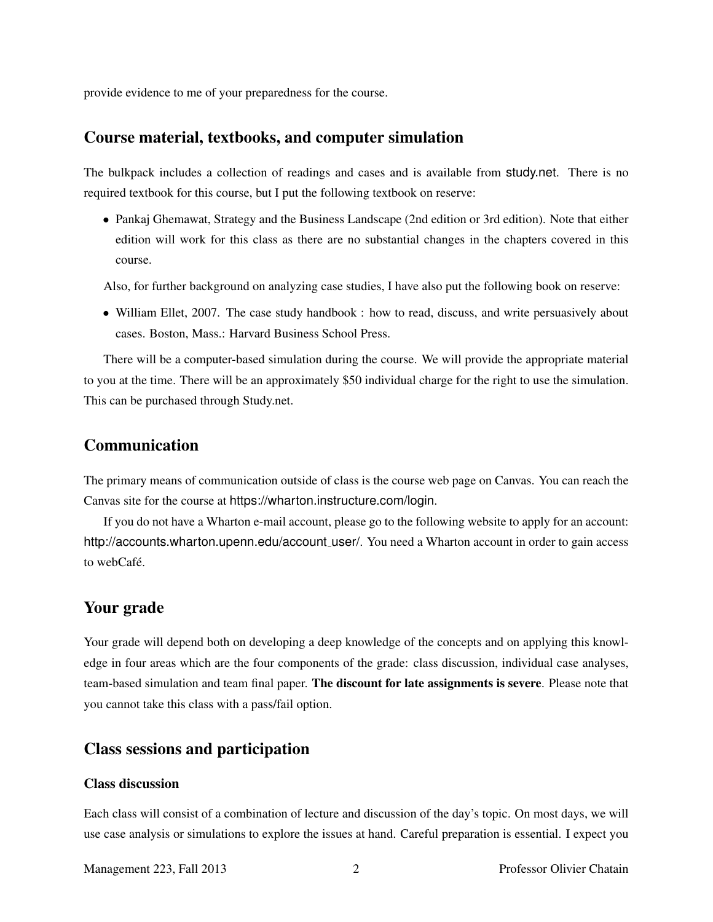provide evidence to me of your preparedness for the course.

## Course material, textbooks, and computer simulation

The bulkpack includes a collection of readings and cases and is available from study.net. There is no required textbook for this course, but I put the following textbook on reserve:

• Pankaj Ghemawat, Strategy and the Business Landscape (2nd edition or 3rd edition). Note that either edition will work for this class as there are no substantial changes in the chapters covered in this course.

Also, for further background on analyzing case studies, I have also put the following book on reserve:

• William Ellet, 2007. The case study handbook : how to read, discuss, and write persuasively about cases. Boston, Mass.: Harvard Business School Press.

There will be a computer-based simulation during the course. We will provide the appropriate material to you at the time. There will be an approximately \$50 individual charge for the right to use the simulation. This can be purchased through Study.net.

## Communication

The primary means of communication outside of class is the course web page on Canvas. You can reach the Canvas site for the course at https://wharton.instructure.com/login.

If you do not have a Wharton e-mail account, please go to the following website to apply for an account: http://accounts.wharton.upenn.edu/account\_user/. You need a Wharton account in order to gain access to webCafé.

## Your grade

Your grade will depend both on developing a deep knowledge of the concepts and on applying this knowledge in four areas which are the four components of the grade: class discussion, individual case analyses, team-based simulation and team final paper. The discount for late assignments is severe. Please note that you cannot take this class with a pass/fail option.

## Class sessions and participation

### Class discussion

Each class will consist of a combination of lecture and discussion of the day's topic. On most days, we will use case analysis or simulations to explore the issues at hand. Careful preparation is essential. I expect you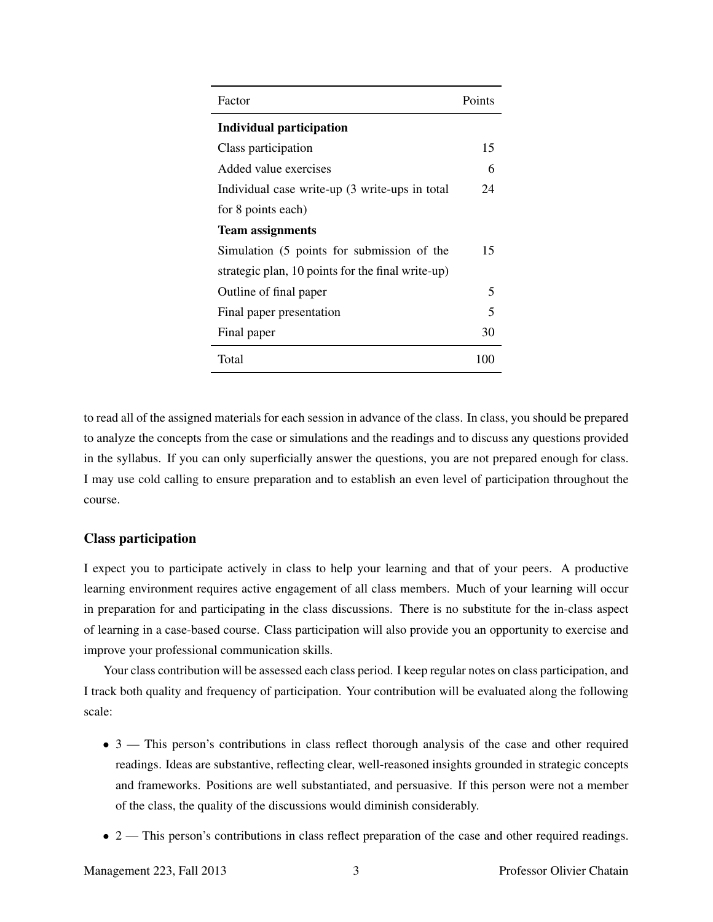| Factor                                            | Points |
|---------------------------------------------------|--------|
| <b>Individual participation</b>                   |        |
| Class participation                               | 15     |
| Added value exercises                             | 6      |
| Individual case write-up (3 write-ups in total    | 24     |
| for 8 points each)                                |        |
| <b>Team assignments</b>                           |        |
| Simulation (5 points for submission of the        | 15     |
| strategic plan, 10 points for the final write-up) |        |
| Outline of final paper                            | 5      |
| Final paper presentation                          | 5      |
| Final paper                                       | 30     |
| Total                                             | 100    |

to read all of the assigned materials for each session in advance of the class. In class, you should be prepared to analyze the concepts from the case or simulations and the readings and to discuss any questions provided in the syllabus. If you can only superficially answer the questions, you are not prepared enough for class. I may use cold calling to ensure preparation and to establish an even level of participation throughout the course.

### Class participation

I expect you to participate actively in class to help your learning and that of your peers. A productive learning environment requires active engagement of all class members. Much of your learning will occur in preparation for and participating in the class discussions. There is no substitute for the in-class aspect of learning in a case-based course. Class participation will also provide you an opportunity to exercise and improve your professional communication skills.

Your class contribution will be assessed each class period. I keep regular notes on class participation, and I track both quality and frequency of participation. Your contribution will be evaluated along the following scale:

- 3 This person's contributions in class reflect thorough analysis of the case and other required readings. Ideas are substantive, reflecting clear, well-reasoned insights grounded in strategic concepts and frameworks. Positions are well substantiated, and persuasive. If this person were not a member of the class, the quality of the discussions would diminish considerably.
- 2 This person's contributions in class reflect preparation of the case and other required readings.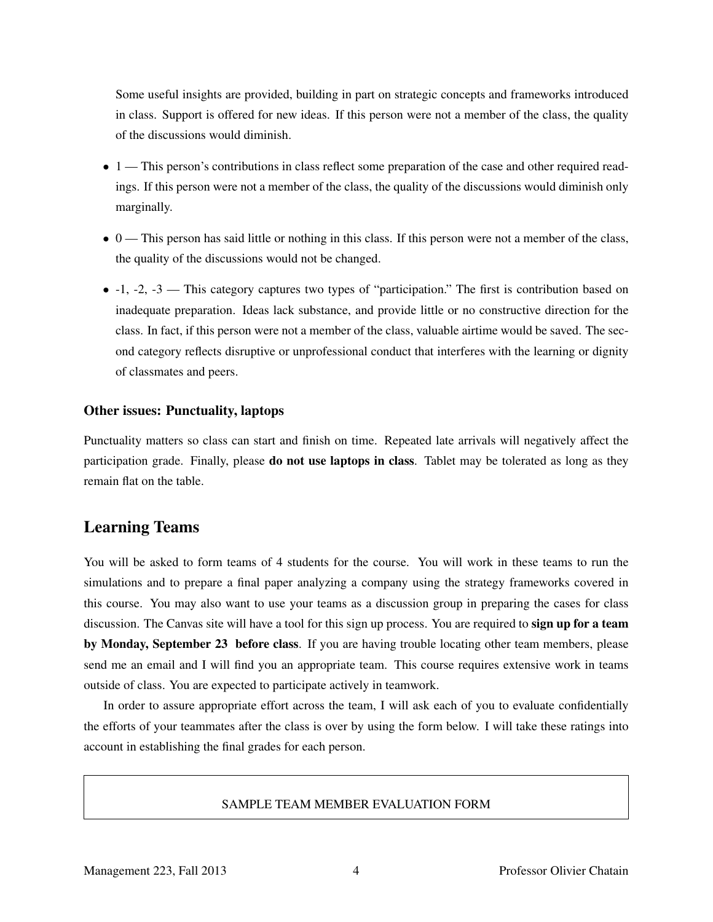Some useful insights are provided, building in part on strategic concepts and frameworks introduced in class. Support is offered for new ideas. If this person were not a member of the class, the quality of the discussions would diminish.

- 1 This person's contributions in class reflect some preparation of the case and other required readings. If this person were not a member of the class, the quality of the discussions would diminish only marginally.
- 0 This person has said little or nothing in this class. If this person were not a member of the class, the quality of the discussions would not be changed.
- $\bullet$  -1, -2, -3 This category captures two types of "participation." The first is contribution based on inadequate preparation. Ideas lack substance, and provide little or no constructive direction for the class. In fact, if this person were not a member of the class, valuable airtime would be saved. The second category reflects disruptive or unprofessional conduct that interferes with the learning or dignity of classmates and peers.

#### Other issues: Punctuality, laptops

Punctuality matters so class can start and finish on time. Repeated late arrivals will negatively affect the participation grade. Finally, please **do not use laptops in class**. Tablet may be tolerated as long as they remain flat on the table.

## Learning Teams

You will be asked to form teams of 4 students for the course. You will work in these teams to run the simulations and to prepare a final paper analyzing a company using the strategy frameworks covered in this course. You may also want to use your teams as a discussion group in preparing the cases for class discussion. The Canvas site will have a tool for this sign up process. You are required to **sign up for a team** by Monday, September 23 before class. If you are having trouble locating other team members, please send me an email and I will find you an appropriate team. This course requires extensive work in teams outside of class. You are expected to participate actively in teamwork.

In order to assure appropriate effort across the team, I will ask each of you to evaluate confidentially the efforts of your teammates after the class is over by using the form below. I will take these ratings into account in establishing the final grades for each person.

#### SAMPLE TEAM MEMBER EVALUATION FORM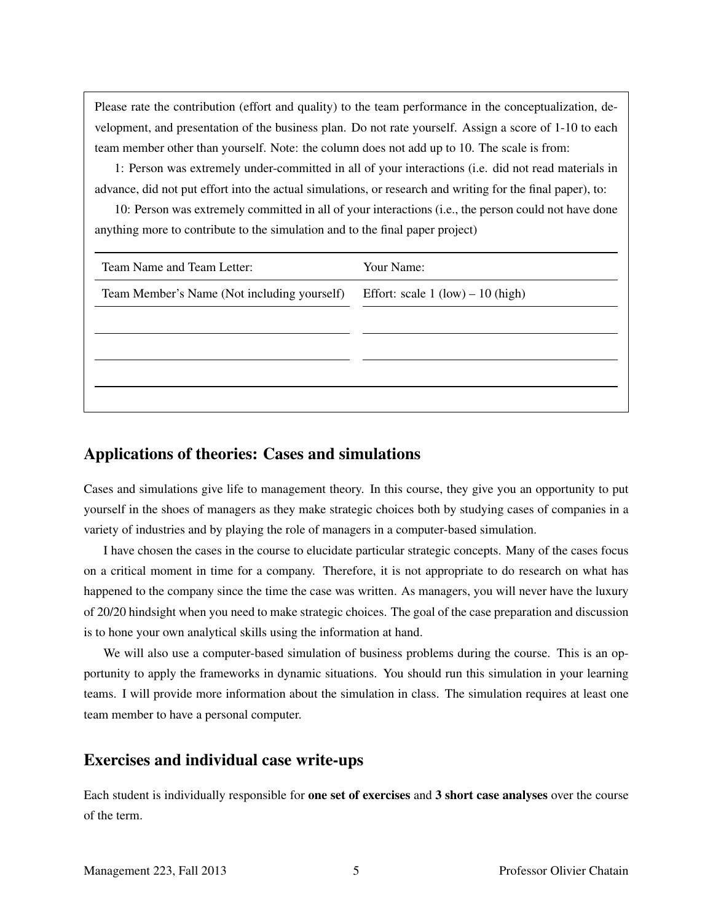Please rate the contribution (effort and quality) to the team performance in the conceptualization, development, and presentation of the business plan. Do not rate yourself. Assign a score of 1-10 to each team member other than yourself. Note: the column does not add up to 10. The scale is from:

1: Person was extremely under-committed in all of your interactions (i.e. did not read materials in advance, did not put effort into the actual simulations, or research and writing for the final paper), to:

10: Person was extremely committed in all of your interactions (i.e., the person could not have done anything more to contribute to the simulation and to the final paper project)

| Team Name and Team Letter:                  | Your Name:                          |
|---------------------------------------------|-------------------------------------|
| Team Member's Name (Not including yourself) | Effort: scale $1 (low) - 10 (high)$ |
|                                             |                                     |
|                                             |                                     |
|                                             |                                     |
|                                             |                                     |

## Applications of theories: Cases and simulations

Cases and simulations give life to management theory. In this course, they give you an opportunity to put yourself in the shoes of managers as they make strategic choices both by studying cases of companies in a variety of industries and by playing the role of managers in a computer-based simulation.

I have chosen the cases in the course to elucidate particular strategic concepts. Many of the cases focus on a critical moment in time for a company. Therefore, it is not appropriate to do research on what has happened to the company since the time the case was written. As managers, you will never have the luxury of 20/20 hindsight when you need to make strategic choices. The goal of the case preparation and discussion is to hone your own analytical skills using the information at hand.

We will also use a computer-based simulation of business problems during the course. This is an opportunity to apply the frameworks in dynamic situations. You should run this simulation in your learning teams. I will provide more information about the simulation in class. The simulation requires at least one team member to have a personal computer.

## Exercises and individual case write-ups

Each student is individually responsible for one set of exercises and 3 short case analyses over the course of the term.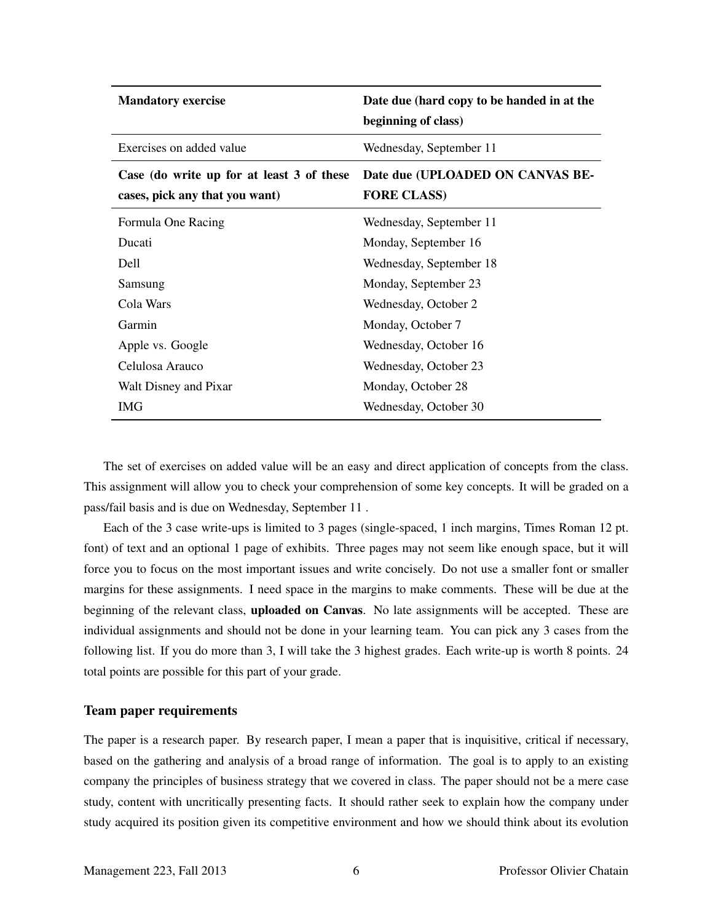| <b>Mandatory exercise</b>                                                   | Date due (hard copy to be handed in at the<br>beginning of class) |
|-----------------------------------------------------------------------------|-------------------------------------------------------------------|
| Exercises on added value                                                    | Wednesday, September 11                                           |
| Case (do write up for at least 3 of these<br>cases, pick any that you want) | Date due (UPLOADED ON CANVAS BE-<br><b>FORE CLASS)</b>            |
| Formula One Racing                                                          | Wednesday, September 11                                           |
| Ducati                                                                      | Monday, September 16                                              |
| <b>Dell</b>                                                                 | Wednesday, September 18                                           |
| Samsung                                                                     | Monday, September 23                                              |
| Cola Wars                                                                   | Wednesday, October 2                                              |
| Garmin                                                                      | Monday, October 7                                                 |
| Apple vs. Google                                                            | Wednesday, October 16                                             |
| Celulosa Arauco                                                             | Wednesday, October 23                                             |
| Walt Disney and Pixar                                                       | Monday, October 28                                                |
| IMG                                                                         | Wednesday, October 30                                             |

The set of exercises on added value will be an easy and direct application of concepts from the class. This assignment will allow you to check your comprehension of some key concepts. It will be graded on a pass/fail basis and is due on Wednesday, September 11 .

Each of the 3 case write-ups is limited to 3 pages (single-spaced, 1 inch margins, Times Roman 12 pt. font) of text and an optional 1 page of exhibits. Three pages may not seem like enough space, but it will force you to focus on the most important issues and write concisely. Do not use a smaller font or smaller margins for these assignments. I need space in the margins to make comments. These will be due at the beginning of the relevant class, uploaded on Canvas. No late assignments will be accepted. These are individual assignments and should not be done in your learning team. You can pick any 3 cases from the following list. If you do more than 3, I will take the 3 highest grades. Each write-up is worth 8 points. 24 total points are possible for this part of your grade.

#### Team paper requirements

The paper is a research paper. By research paper, I mean a paper that is inquisitive, critical if necessary, based on the gathering and analysis of a broad range of information. The goal is to apply to an existing company the principles of business strategy that we covered in class. The paper should not be a mere case study, content with uncritically presenting facts. It should rather seek to explain how the company under study acquired its position given its competitive environment and how we should think about its evolution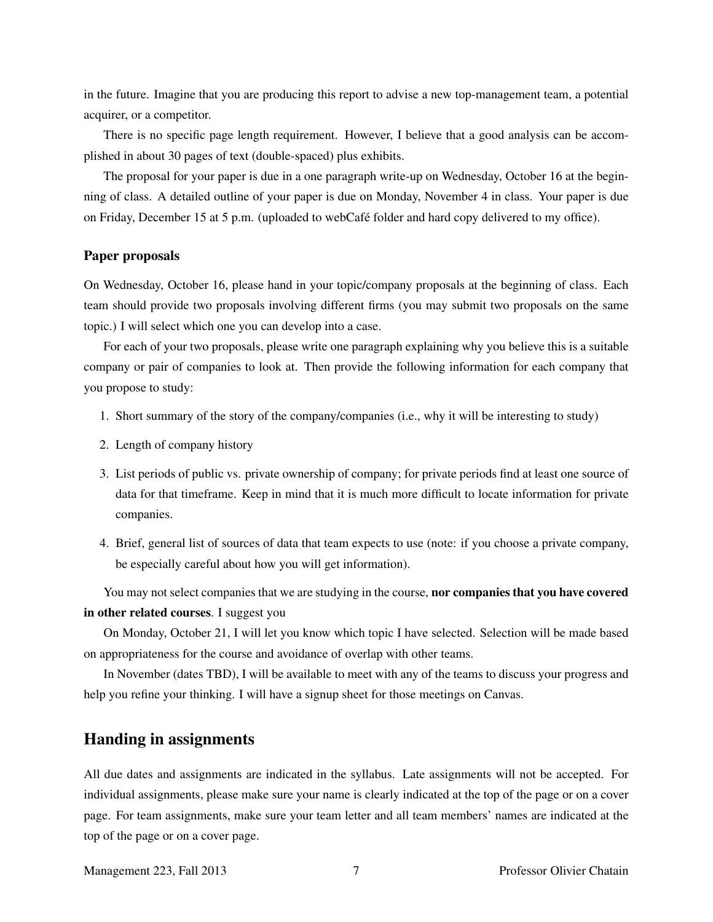in the future. Imagine that you are producing this report to advise a new top-management team, a potential acquirer, or a competitor.

There is no specific page length requirement. However, I believe that a good analysis can be accomplished in about 30 pages of text (double-spaced) plus exhibits.

The proposal for your paper is due in a one paragraph write-up on Wednesday, October 16 at the beginning of class. A detailed outline of your paper is due on Monday, November 4 in class. Your paper is due on Friday, December 15 at 5 p.m. (uploaded to webCafé folder and hard copy delivered to my office).

### Paper proposals

On Wednesday, October 16, please hand in your topic/company proposals at the beginning of class. Each team should provide two proposals involving different firms (you may submit two proposals on the same topic.) I will select which one you can develop into a case.

For each of your two proposals, please write one paragraph explaining why you believe this is a suitable company or pair of companies to look at. Then provide the following information for each company that you propose to study:

- 1. Short summary of the story of the company/companies (i.e., why it will be interesting to study)
- 2. Length of company history
- 3. List periods of public vs. private ownership of company; for private periods find at least one source of data for that timeframe. Keep in mind that it is much more difficult to locate information for private companies.
- 4. Brief, general list of sources of data that team expects to use (note: if you choose a private company, be especially careful about how you will get information).

You may not select companies that we are studying in the course, **nor companies that you have covered** in other related courses. I suggest you

On Monday, October 21, I will let you know which topic I have selected. Selection will be made based on appropriateness for the course and avoidance of overlap with other teams.

In November (dates TBD), I will be available to meet with any of the teams to discuss your progress and help you refine your thinking. I will have a signup sheet for those meetings on Canvas.

## Handing in assignments

All due dates and assignments are indicated in the syllabus. Late assignments will not be accepted. For individual assignments, please make sure your name is clearly indicated at the top of the page or on a cover page. For team assignments, make sure your team letter and all team members' names are indicated at the top of the page or on a cover page.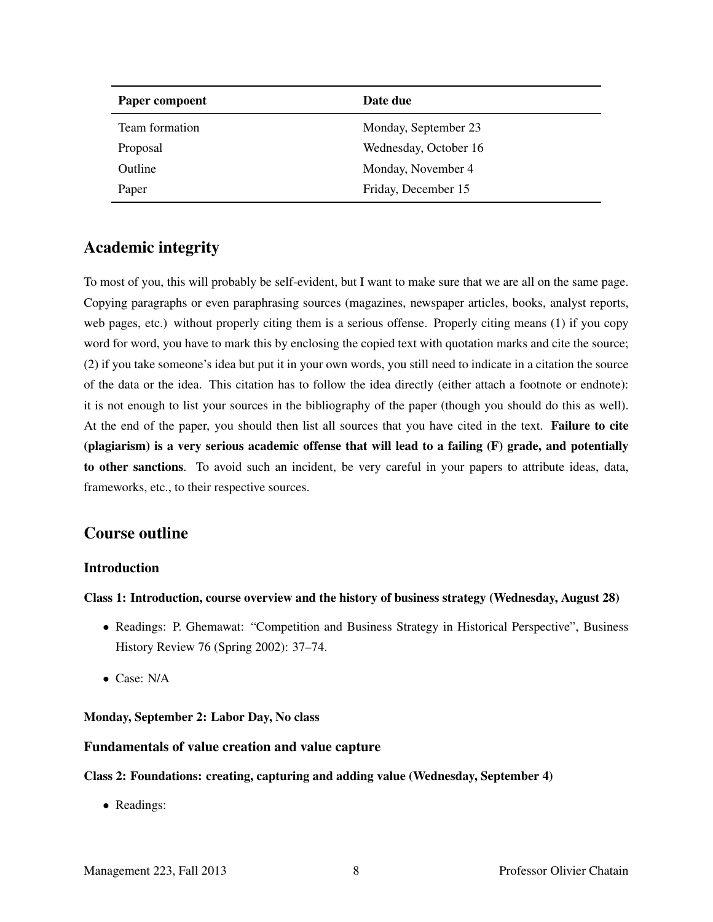| Paper compoent | Date due              |
|----------------|-----------------------|
| Team formation | Monday, September 23  |
| Proposal       | Wednesday, October 16 |
| Outline        | Monday, November 4    |
| Paper          | Friday, December 15   |

## Academic integrity

To most of you, this will probably be self-evident, but I want to make sure that we are all on the same page. Copying paragraphs or even paraphrasing sources (magazines, newspaper articles, books, analyst reports, web pages, etc.) without properly citing them is a serious offense. Properly citing means (1) if you copy word for word, you have to mark this by enclosing the copied text with quotation marks and cite the source; (2) if you take someone's idea but put it in your own words, you still need to indicate in a citation the source of the data or the idea. This citation has to follow the idea directly (either attach a footnote or endnote): it is not enough to list your sources in the bibliography of the paper (though you should do this as well). At the end of the paper, you should then list all sources that you have cited in the text. Failure to cite (plagiarism) is a very serious academic offense that will lead to a failing (F) grade, and potentially to other sanctions. To avoid such an incident, be very careful in your papers to attribute ideas, data, frameworks, etc., to their respective sources.

## Course outline

### Introduction

#### Class 1: Introduction, course overview and the history of business strategy (Wednesday, August 28)

- Readings: P. Ghemawat: "Competition and Business Strategy in Historical Perspective", Business History Review 76 (Spring 2002): 37–74.
- Case: N/A

### Monday, September 2: Labor Day, No class

### Fundamentals of value creation and value capture

#### Class 2: Foundations: creating, capturing and adding value (Wednesday, September 4)

• Readings: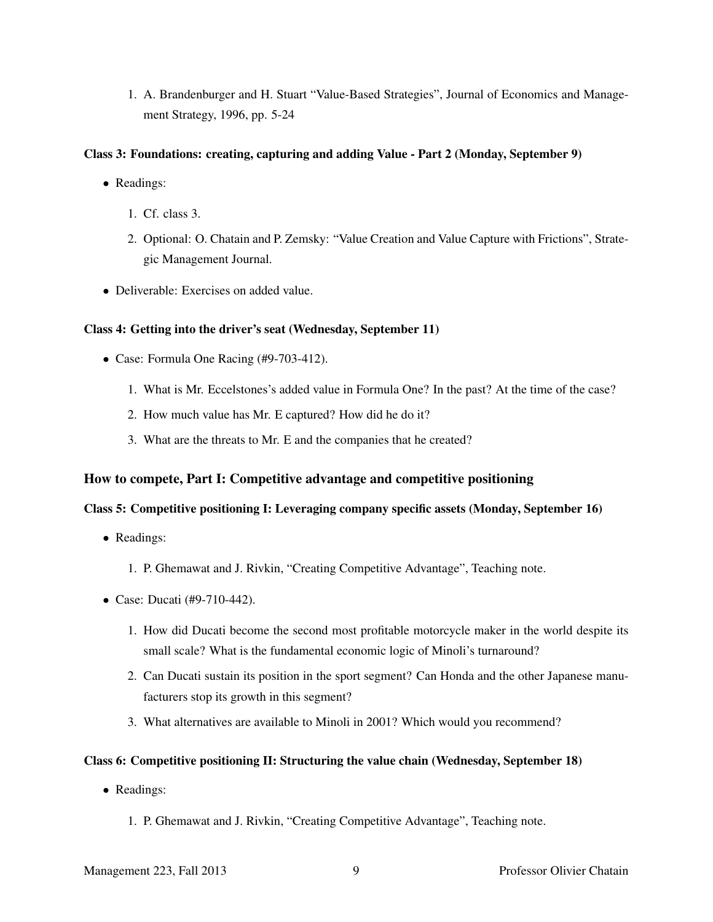1. A. Brandenburger and H. Stuart "Value-Based Strategies", Journal of Economics and Management Strategy, 1996, pp. 5-24

#### Class 3: Foundations: creating, capturing and adding Value - Part 2 (Monday, September 9)

- Readings:
	- 1. Cf. class 3.
	- 2. Optional: O. Chatain and P. Zemsky: "Value Creation and Value Capture with Frictions", Strategic Management Journal.
- Deliverable: Exercises on added value.

#### Class 4: Getting into the driver's seat (Wednesday, September 11)

- Case: Formula One Racing (#9-703-412).
	- 1. What is Mr. Eccelstones's added value in Formula One? In the past? At the time of the case?
	- 2. How much value has Mr. E captured? How did he do it?
	- 3. What are the threats to Mr. E and the companies that he created?

#### How to compete, Part I: Competitive advantage and competitive positioning

### Class 5: Competitive positioning I: Leveraging company specific assets (Monday, September 16)

- Readings:
	- 1. P. Ghemawat and J. Rivkin, "Creating Competitive Advantage", Teaching note.
- Case: Ducati (#9-710-442).
	- 1. How did Ducati become the second most profitable motorcycle maker in the world despite its small scale? What is the fundamental economic logic of Minoli's turnaround?
	- 2. Can Ducati sustain its position in the sport segment? Can Honda and the other Japanese manufacturers stop its growth in this segment?
	- 3. What alternatives are available to Minoli in 2001? Which would you recommend?

#### Class 6: Competitive positioning II: Structuring the value chain (Wednesday, September 18)

- Readings:
	- 1. P. Ghemawat and J. Rivkin, "Creating Competitive Advantage", Teaching note.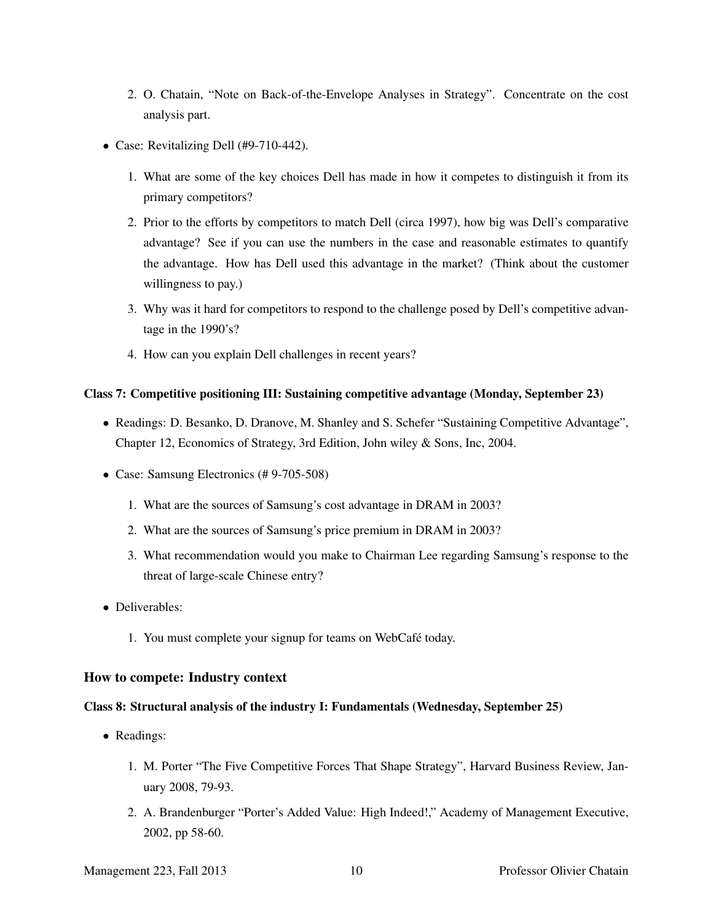- 2. O. Chatain, "Note on Back-of-the-Envelope Analyses in Strategy". Concentrate on the cost analysis part.
- Case: Revitalizing Dell (#9-710-442).
	- 1. What are some of the key choices Dell has made in how it competes to distinguish it from its primary competitors?
	- 2. Prior to the efforts by competitors to match Dell (circa 1997), how big was Dell's comparative advantage? See if you can use the numbers in the case and reasonable estimates to quantify the advantage. How has Dell used this advantage in the market? (Think about the customer willingness to pay.)
	- 3. Why was it hard for competitors to respond to the challenge posed by Dell's competitive advantage in the 1990's?
	- 4. How can you explain Dell challenges in recent years?

#### Class 7: Competitive positioning III: Sustaining competitive advantage (Monday, September 23)

- Readings: D. Besanko, D. Dranove, M. Shanley and S. Schefer "Sustaining Competitive Advantage", Chapter 12, Economics of Strategy, 3rd Edition, John wiley & Sons, Inc, 2004.
- Case: Samsung Electronics (# 9-705-508)
	- 1. What are the sources of Samsung's cost advantage in DRAM in 2003?
	- 2. What are the sources of Samsung's price premium in DRAM in 2003?
	- 3. What recommendation would you make to Chairman Lee regarding Samsung's response to the threat of large-scale Chinese entry?
- Deliverables:
	- 1. You must complete your signup for teams on WebCafé today.

#### How to compete: Industry context

#### Class 8: Structural analysis of the industry I: Fundamentals (Wednesday, September 25)

- Readings:
	- 1. M. Porter "The Five Competitive Forces That Shape Strategy", Harvard Business Review, January 2008, 79-93.
	- 2. A. Brandenburger "Porter's Added Value: High Indeed!," Academy of Management Executive, 2002, pp 58-60.

Management 223, Fall 2013 10 Professor Olivier Chatain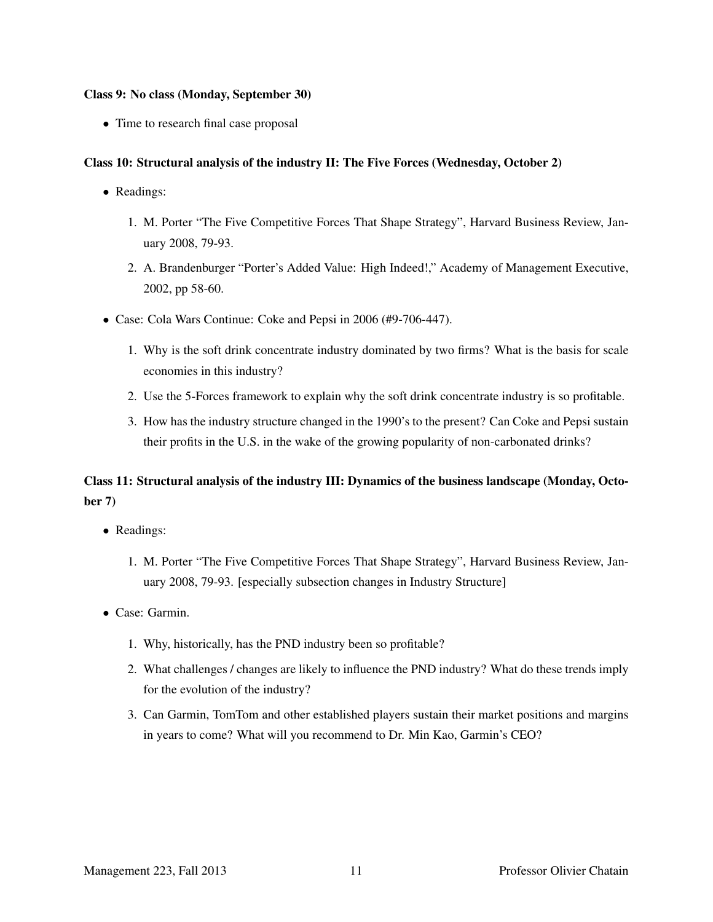#### Class 9: No class (Monday, September 30)

• Time to research final case proposal

### Class 10: Structural analysis of the industry II: The Five Forces (Wednesday, October 2)

- Readings:
	- 1. M. Porter "The Five Competitive Forces That Shape Strategy", Harvard Business Review, January 2008, 79-93.
	- 2. A. Brandenburger "Porter's Added Value: High Indeed!," Academy of Management Executive, 2002, pp 58-60.
- Case: Cola Wars Continue: Coke and Pepsi in 2006 (#9-706-447).
	- 1. Why is the soft drink concentrate industry dominated by two firms? What is the basis for scale economies in this industry?
	- 2. Use the 5-Forces framework to explain why the soft drink concentrate industry is so profitable.
	- 3. How has the industry structure changed in the 1990's to the present? Can Coke and Pepsi sustain their profits in the U.S. in the wake of the growing popularity of non-carbonated drinks?

## Class 11: Structural analysis of the industry III: Dynamics of the business landscape (Monday, October 7)

- Readings:
	- 1. M. Porter "The Five Competitive Forces That Shape Strategy", Harvard Business Review, January 2008, 79-93. [especially subsection changes in Industry Structure]
- Case: Garmin.
	- 1. Why, historically, has the PND industry been so profitable?
	- 2. What challenges / changes are likely to influence the PND industry? What do these trends imply for the evolution of the industry?
	- 3. Can Garmin, TomTom and other established players sustain their market positions and margins in years to come? What will you recommend to Dr. Min Kao, Garmin's CEO?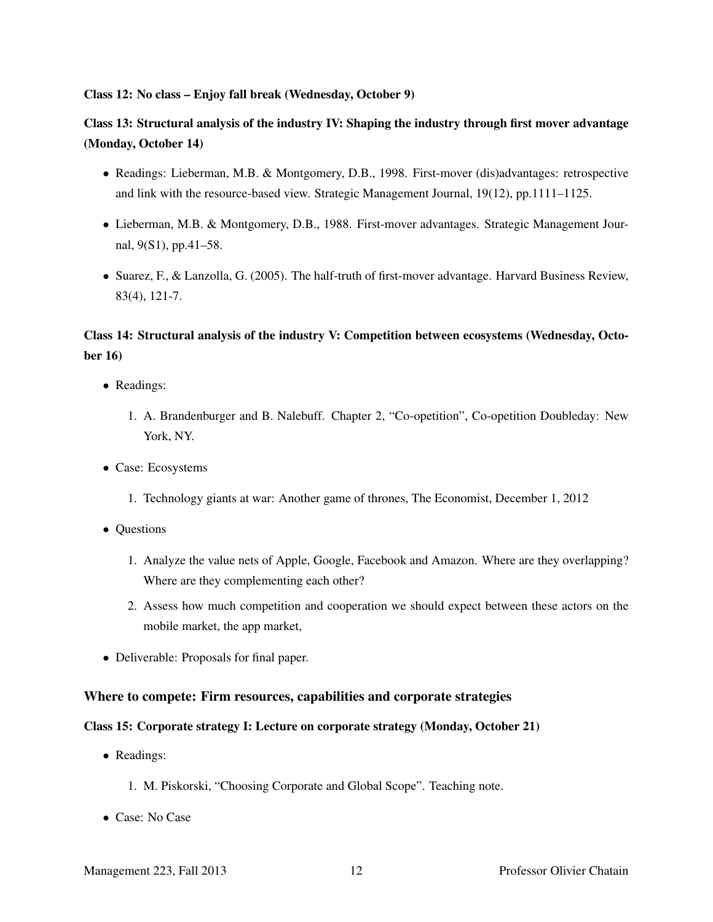#### Class 12: No class – Enjoy fall break (Wednesday, October 9)

## Class 13: Structural analysis of the industry IV: Shaping the industry through first mover advantage (Monday, October 14)

- Readings: Lieberman, M.B. & Montgomery, D.B., 1998. First-mover (dis)advantages: retrospective and link with the resource-based view. Strategic Management Journal, 19(12), pp.1111–1125.
- Lieberman, M.B. & Montgomery, D.B., 1988. First-mover advantages. Strategic Management Journal, 9(S1), pp.41–58.
- Suarez, F., & Lanzolla, G. (2005). The half-truth of first-mover advantage. Harvard Business Review, 83(4), 121-7.

## Class 14: Structural analysis of the industry V: Competition between ecosystems (Wednesday, October 16)

- Readings:
	- 1. A. Brandenburger and B. Nalebuff. Chapter 2, "Co-opetition", Co-opetition Doubleday: New York, NY.
- Case: Ecosystems
	- 1. Technology giants at war: Another game of thrones, The Economist, December 1, 2012
- Questions
	- 1. Analyze the value nets of Apple, Google, Facebook and Amazon. Where are they overlapping? Where are they complementing each other?
	- 2. Assess how much competition and cooperation we should expect between these actors on the mobile market, the app market,
- Deliverable: Proposals for final paper.

### Where to compete: Firm resources, capabilities and corporate strategies

### Class 15: Corporate strategy I: Lecture on corporate strategy (Monday, October 21)

- Readings:
	- 1. M. Piskorski, "Choosing Corporate and Global Scope". Teaching note.
- Case: No Case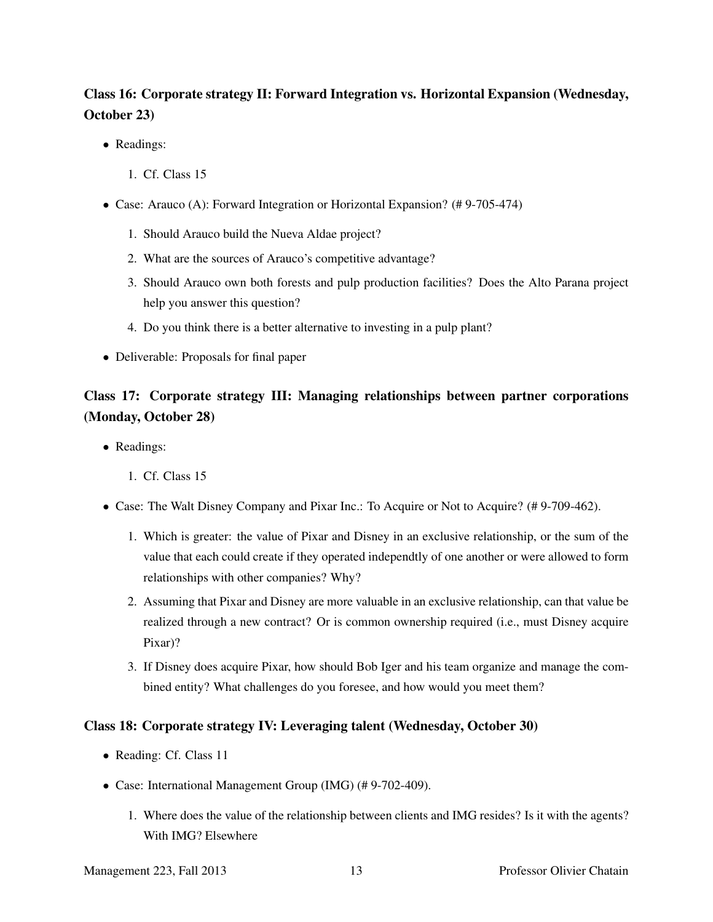# Class 16: Corporate strategy II: Forward Integration vs. Horizontal Expansion (Wednesday, October 23)

- Readings:
	- 1. Cf. Class 15
- Case: Arauco (A): Forward Integration or Horizontal Expansion? (# 9-705-474)
	- 1. Should Arauco build the Nueva Aldae project?
	- 2. What are the sources of Arauco's competitive advantage?
	- 3. Should Arauco own both forests and pulp production facilities? Does the Alto Parana project help you answer this question?
	- 4. Do you think there is a better alternative to investing in a pulp plant?
- Deliverable: Proposals for final paper

# Class 17: Corporate strategy III: Managing relationships between partner corporations (Monday, October 28)

- Readings:
	- 1. Cf. Class 15
- Case: The Walt Disney Company and Pixar Inc.: To Acquire or Not to Acquire? (#9-709-462).
	- 1. Which is greater: the value of Pixar and Disney in an exclusive relationship, or the sum of the value that each could create if they operated independtly of one another or were allowed to form relationships with other companies? Why?
	- 2. Assuming that Pixar and Disney are more valuable in an exclusive relationship, can that value be realized through a new contract? Or is common ownership required (i.e., must Disney acquire Pixar)?
	- 3. If Disney does acquire Pixar, how should Bob Iger and his team organize and manage the combined entity? What challenges do you foresee, and how would you meet them?

## Class 18: Corporate strategy IV: Leveraging talent (Wednesday, October 30)

- Reading: Cf. Class 11
- Case: International Management Group (IMG) (# 9-702-409).
	- 1. Where does the value of the relationship between clients and IMG resides? Is it with the agents? With IMG? Elsewhere

Management 223, Fall 2013 13 Professor Olivier Chatain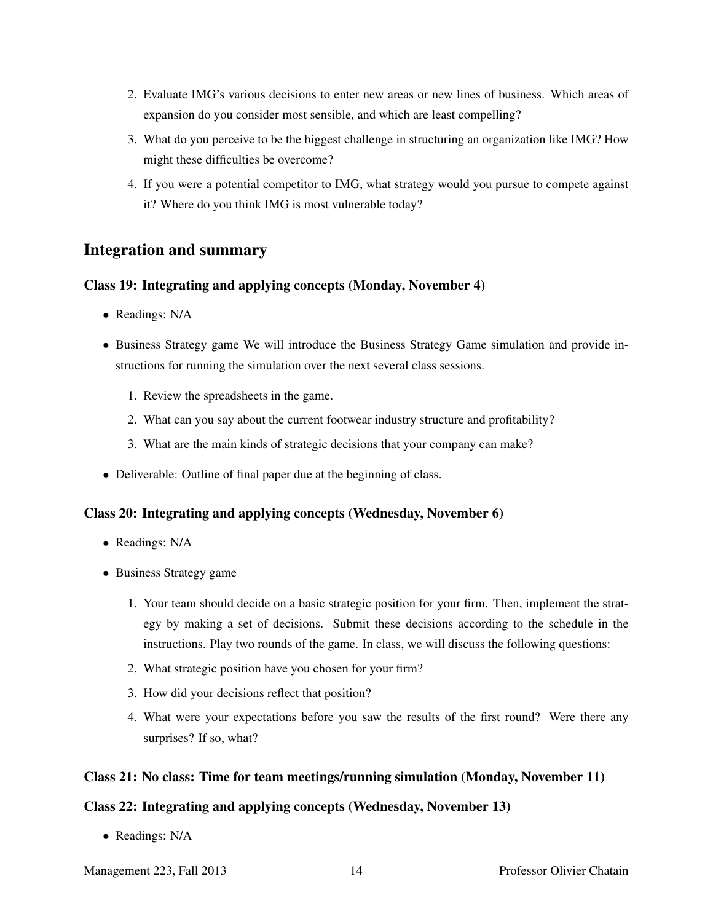- 2. Evaluate IMG's various decisions to enter new areas or new lines of business. Which areas of expansion do you consider most sensible, and which are least compelling?
- 3. What do you perceive to be the biggest challenge in structuring an organization like IMG? How might these difficulties be overcome?
- 4. If you were a potential competitor to IMG, what strategy would you pursue to compete against it? Where do you think IMG is most vulnerable today?

## Integration and summary

## Class 19: Integrating and applying concepts (Monday, November 4)

- Readings: N/A
- Business Strategy game We will introduce the Business Strategy Game simulation and provide instructions for running the simulation over the next several class sessions.
	- 1. Review the spreadsheets in the game.
	- 2. What can you say about the current footwear industry structure and profitability?
	- 3. What are the main kinds of strategic decisions that your company can make?
- Deliverable: Outline of final paper due at the beginning of class.

## Class 20: Integrating and applying concepts (Wednesday, November 6)

- Readings: N/A
- Business Strategy game
	- 1. Your team should decide on a basic strategic position for your firm. Then, implement the strategy by making a set of decisions. Submit these decisions according to the schedule in the instructions. Play two rounds of the game. In class, we will discuss the following questions:
	- 2. What strategic position have you chosen for your firm?
	- 3. How did your decisions reflect that position?
	- 4. What were your expectations before you saw the results of the first round? Were there any surprises? If so, what?

## Class 21: No class: Time for team meetings/running simulation (Monday, November 11)

## Class 22: Integrating and applying concepts (Wednesday, November 13)

• Readings: N/A

Management 223, Fall 2013 14 Professor Olivier Chatain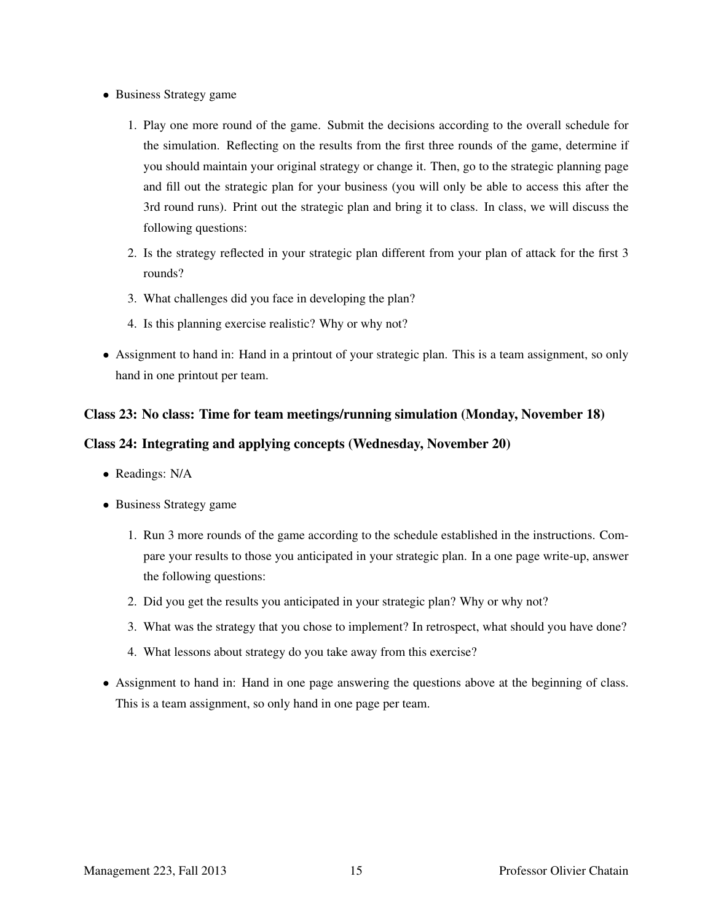- Business Strategy game
	- 1. Play one more round of the game. Submit the decisions according to the overall schedule for the simulation. Reflecting on the results from the first three rounds of the game, determine if you should maintain your original strategy or change it. Then, go to the strategic planning page and fill out the strategic plan for your business (you will only be able to access this after the 3rd round runs). Print out the strategic plan and bring it to class. In class, we will discuss the following questions:
	- 2. Is the strategy reflected in your strategic plan different from your plan of attack for the first 3 rounds?
	- 3. What challenges did you face in developing the plan?
	- 4. Is this planning exercise realistic? Why or why not?
- Assignment to hand in: Hand in a printout of your strategic plan. This is a team assignment, so only hand in one printout per team.

## Class 23: No class: Time for team meetings/running simulation (Monday, November 18)

## Class 24: Integrating and applying concepts (Wednesday, November 20)

- Readings: N/A
- Business Strategy game
	- 1. Run 3 more rounds of the game according to the schedule established in the instructions. Compare your results to those you anticipated in your strategic plan. In a one page write-up, answer the following questions:
	- 2. Did you get the results you anticipated in your strategic plan? Why or why not?
	- 3. What was the strategy that you chose to implement? In retrospect, what should you have done?
	- 4. What lessons about strategy do you take away from this exercise?
- Assignment to hand in: Hand in one page answering the questions above at the beginning of class. This is a team assignment, so only hand in one page per team.